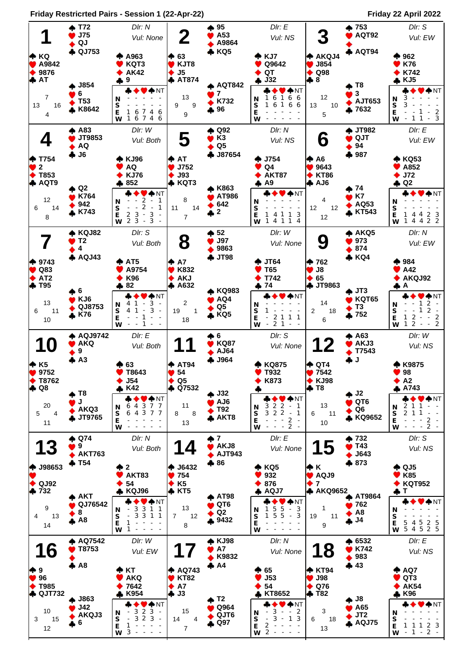**Friday Restricrted Pairs - Session 1 (22-Apr-22) Friday 22 April 2022**